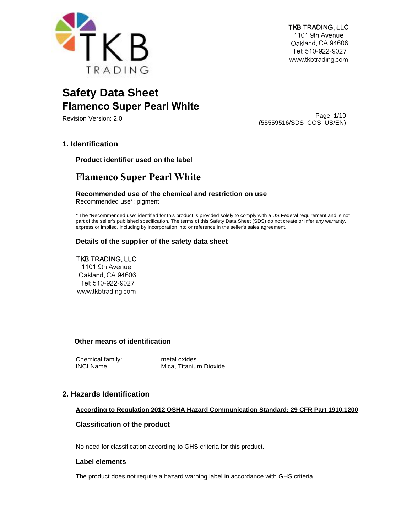

Page: 1/10<br>Revision Version: 2.0 (55559516/SDS\_COS\_US/EN)

# **1. Identification**

**Product identifier used on the label**

# **Flamenco Super Pearl White**

# **Recommended use of the chemical and restriction on use**

Recommended use\*: pigment

\* The "Recommended use" identified for this product is provided solely to comply with a US Federal requirement and is not part of the seller's published specification. The terms of this Safety Data Sheet (SDS) do not create or infer any warranty, express or implied, including by incorporation into or reference in the seller's sales agreement.

# **Details of the supplier of the safety data sheet**

# TKB TRADING, LLC

1101 9th Avenue Oakland, CA 94606 Tel: 510-922-9027 www.tkbtrading.com

# **Other means of identification**

Chemical family: metal oxides

INCI Name: Mica, Titanium Dioxide

# **2. Hazards Identification**

# **According to Regulation 2012 OSHA Hazard Communication Standard; 29 CFR Part 1910.1200**

# **Classification of the product**

No need for classification according to GHS criteria for this product.

# **Label elements**

The product does not require a hazard warning label in accordance with GHS criteria.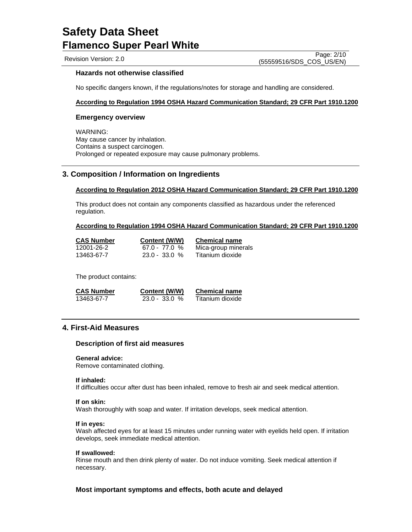Revision Version: 2.0

Page: 2/10 (55559516/SDS\_COS\_US/EN)

# **Hazards not otherwise classified**

No specific dangers known, if the regulations/notes for storage and handling are considered.

## **According to Regulation 1994 OSHA Hazard Communication Standard; 29 CFR Part 1910.1200**

## **Emergency overview**

WARNING: May cause cancer by inhalation. Contains a suspect carcinogen. Prolonged or repeated exposure may cause pulmonary problems.

## **3. Composition / Information on Ingredients**

### **According to Regulation 2012 OSHA Hazard Communication Standard; 29 CFR Part 1910.1200**

This product does not contain any components classified as hazardous under the referenced regulation.

## **According to Regulation 1994 OSHA Hazard Communication Standard; 29 CFR Part 1910.1200**

| <b>CAS Number</b> | Content (W/W)   | <b>Chemical name</b> |
|-------------------|-----------------|----------------------|
| 12001-26-2        | $67.0 - 77.0 %$ | Mica-group minerals  |
| 13463-67-7        | $23.0 - 33.0 %$ | Titanium dioxide     |

The product contains:

| <b>CAS Number</b> | Content (W/W)   | <b>Chemical name</b> |
|-------------------|-----------------|----------------------|
| 13463-67-7        | $23.0 - 33.0 %$ | Titanium dioxide     |

# **4. First-Aid Measures**

### **Description of first aid measures**

### **General advice:**

Remove contaminated clothing.

### **If inhaled:**

If difficulties occur after dust has been inhaled, remove to fresh air and seek medical attention.

### **If on skin:**

Wash thoroughly with soap and water. If irritation develops, seek medical attention.

### **If in eyes:**

Wash affected eyes for at least 15 minutes under running water with eyelids held open. If irritation develops, seek immediate medical attention.

### **If swallowed:**

Rinse mouth and then drink plenty of water. Do not induce vomiting. Seek medical attention if necessary.

# **Most important symptoms and effects, both acute and delayed**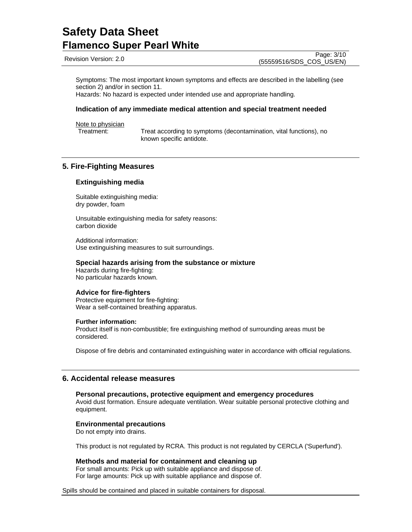Revision Version: 2.0

Page: 3/10 (55559516/SDS\_COS\_US/EN)

Symptoms: The most important known symptoms and effects are described in the labelling (see section 2) and/or in section 11. Hazards: No hazard is expected under intended use and appropriate handling.

# **Indication of any immediate medical attention and special treatment needed**

Note to physician

Treatment: Treat according to symptoms (decontamination, vital functions), no known specific antidote.

# **5. Fire-Fighting Measures**

## **Extinguishing media**

Suitable extinguishing media: dry powder, foam

Unsuitable extinguishing media for safety reasons: carbon dioxide

Additional information: Use extinguishing measures to suit surroundings.

### **Special hazards arising from the substance or mixture**

Hazards during fire-fighting: No particular hazards known.

## **Advice for fire-fighters**

Protective equipment for fire-fighting: Wear a self-contained breathing apparatus.

### **Further information:**

Product itself is non-combustible; fire extinguishing method of surrounding areas must be considered.

Dispose of fire debris and contaminated extinguishing water in accordance with official regulations.

# **6. Accidental release measures**

**Personal precautions, protective equipment and emergency procedures** Avoid dust formation. Ensure adequate ventilation. Wear suitable personal protective clothing and equipment.

## **Environmental precautions**

Do not empty into drains.

This product is not regulated by RCRA. This product is not regulated by CERCLA ('Superfund').

## **Methods and material for containment and cleaning up**

For small amounts: Pick up with suitable appliance and dispose of. For large amounts: Pick up with suitable appliance and dispose of.

Spills should be contained and placed in suitable containers for disposal.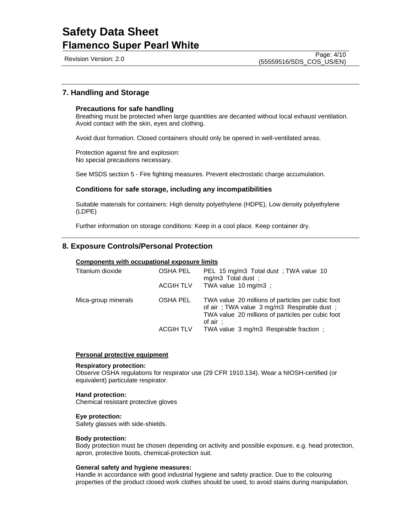Revision Version: 2.0

# **7. Handling and Storage**

## **Precautions for safe handling**

Breathing must be protected when large quantities are decanted without local exhaust ventilation. Avoid contact with the skin, eyes and clothing.

Avoid dust formation. Closed containers should only be opened in well-ventilated areas.

Protection against fire and explosion: No special precautions necessary.

See MSDS section 5 - Fire fighting measures. Prevent electrostatic charge accumulation.

## **Conditions for safe storage, including any incompatibilities**

Suitable materials for containers: High density polyethylene (HDPE), Low density polyethylene (LDPE)

Further information on storage conditions: Keep in a cool place. Keep container dry.

# **8. Exposure Controls/Personal Protection**

## **Components with occupational exposure limits**

| Titanium dioxide    | <b>OSHA PEL</b><br><b>ACGIH TLV</b> | PEL 15 mg/m3 Total dust; TWA value 10<br>mg/m3 Total dust;<br>TWA value 10 mg/m3 ;                                                                              |
|---------------------|-------------------------------------|-----------------------------------------------------------------------------------------------------------------------------------------------------------------|
| Mica-group minerals | OSHA PEL                            | TWA value 20 millions of particles per cubic foot<br>of air; TWA value 3 mg/m3 Respirable dust;<br>TWA value 20 millions of particles per cubic foot<br>of air: |
|                     | <b>ACGIH TLV</b>                    | TWA value 3 mg/m3 Respirable fraction;                                                                                                                          |

### **Personal protective equipment**

## **Respiratory protection:**

Observe OSHA regulations for respirator use (29 CFR 1910.134). Wear a NIOSH-certified (or equivalent) particulate respirator.

### **Hand protection:**

Chemical resistant protective gloves

## **Eye protection:**

Safety glasses with side-shields.

## **Body protection:**

Body protection must be chosen depending on activity and possible exposure, e.g. head protection, apron, protective boots, chemical-protection suit.

## **General safety and hygiene measures:**

Handle in accordance with good industrial hygiene and safety practice. Due to the colouring properties of the product closed work clothes should be used, to avoid stains during manipulation.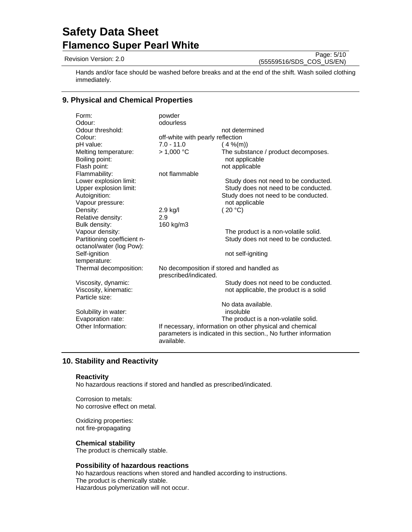Revision Version: 2.0

Page: 5/10 (55559516/SDS\_COS\_US/EN)

Hands and/or face should be washed before breaks and at the end of the shift. Wash soiled clothing immediately.

# **9. Physical and Chemical Properties**

| Form:                                                          | powder                                                             |                                                                                |
|----------------------------------------------------------------|--------------------------------------------------------------------|--------------------------------------------------------------------------------|
| Odour:                                                         | odourless                                                          |                                                                                |
| Odour threshold:                                               |                                                                    | not determined                                                                 |
| Colour:                                                        | off-white with pearly reflection                                   |                                                                                |
| pH value:                                                      | $7.0 - 11.0$                                                       | $(4\%$ (m))                                                                    |
| Melting temperature:<br>Boiling point:<br>Flash point:         | > 1.000 °C                                                         | The substance / product decomposes.<br>not applicable                          |
| Flammability:                                                  | not flammable                                                      | not applicable                                                                 |
| Lower explosion limit:                                         |                                                                    |                                                                                |
| Upper explosion limit:                                         |                                                                    | Study does not need to be conducted.<br>Study does not need to be conducted.   |
| Autoignition:                                                  |                                                                    | Study does not need to be conducted.                                           |
| Vapour pressure:                                               |                                                                    | not applicable                                                                 |
| Density:                                                       | 2.9 kg/l                                                           | (20 °C)                                                                        |
| Relative density:                                              | 2.9                                                                |                                                                                |
| Bulk density:                                                  | 160 kg/m3                                                          |                                                                                |
| Vapour density:                                                |                                                                    | The product is a non-volatile solid.                                           |
| Partitioning coefficient n-                                    |                                                                    | Study does not need to be conducted.                                           |
| octanol/water (log Pow):                                       |                                                                    |                                                                                |
| Self-ignition                                                  |                                                                    | not self-igniting                                                              |
| temperature:                                                   |                                                                    |                                                                                |
| Thermal decomposition:                                         | No decomposition if stored and handled as<br>prescribed/indicated. |                                                                                |
| Viscosity, dynamic:<br>Viscosity, kinematic:<br>Particle size: |                                                                    | Study does not need to be conducted.<br>not applicable, the product is a solid |
|                                                                |                                                                    | No data available.                                                             |
| Solubility in water:                                           |                                                                    | insoluble                                                                      |
| Evaporation rate:                                              |                                                                    | The product is a non-volatile solid.                                           |
| Other Information:                                             |                                                                    | If necessary, information on other physical and chemical                       |
|                                                                | available.                                                         | parameters is indicated in this section., No further information               |

# **10. Stability and Reactivity**

## **Reactivity**

No hazardous reactions if stored and handled as prescribed/indicated.

Corrosion to metals: No corrosive effect on metal.

Oxidizing properties: not fire-propagating

## **Chemical stability**

The product is chemically stable.

# **Possibility of hazardous reactions**

No hazardous reactions when stored and handled according to instructions. The product is chemically stable. Hazardous polymerization will not occur.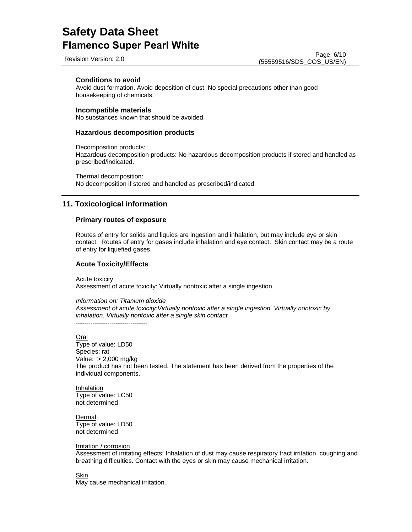Revision Version: 2.0

## **Conditions to avoid**

Avoid dust formation. Avoid deposition of dust. No special precautions other than good housekeeping of chemicals.

### **Incompatible materials**

No substances known that should be avoided.

### **Hazardous decomposition products**

Decomposition products:

Hazardous decomposition products: No hazardous decomposition products if stored and handled as prescribed/indicated.

Thermal decomposition: No decomposition if stored and handled as prescribed/indicated.

# **11. Toxicological information**

### **Primary routes of exposure**

Routes of entry for solids and liquids are ingestion and inhalation, but may include eye or skin contact. Routes of entry for gases include inhalation and eye contact. Skin contact may be a route of entry for liquefied gases.

### **Acute Toxicity/Effects**

Acute toxicity

Assessment of acute toxicity: Virtually nontoxic after a single ingestion.

*Information on: Titanium dioxide*

*Assessment of acute toxicity:Virtually nontoxic after a single ingestion. Virtually nontoxic by inhalation. Virtually nontoxic after a single skin contact.* ----------------------------------

### Oral

Type of value: LD50 Species: rat Value: > 2,000 mg/kg The product has not been tested. The statement has been derived from the properties of the individual components.

Inhalation Type of value: LC50 not determined

Dermal Type of value: LD50 not determined

#### Irritation / corrosion

Assessment of irritating effects: Inhalation of dust may cause respiratory tract irritation, coughing and breathing difficulties. Contact with the eyes or skin may cause mechanical irritation.

### Skin

May cause mechanical irritation.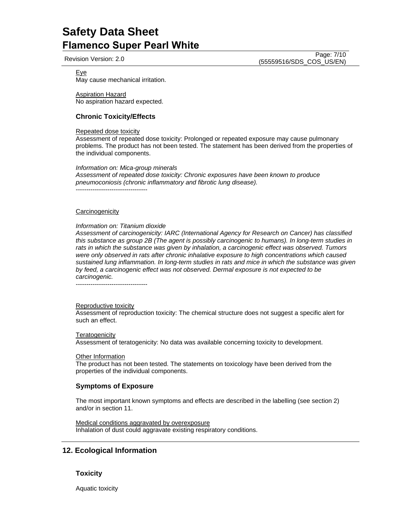Revision Version: 2.0

Page: 7/10 (55559516/SDS\_COS\_US/EN)

### Eye

May cause mechanical irritation.

Aspiration Hazard No aspiration hazard expected.

# **Chronic Toxicity/Effects**

## Repeated dose toxicity

Assessment of repeated dose toxicity: Prolonged or repeated exposure may cause pulmonary problems. The product has not been tested. The statement has been derived from the properties of the individual components.

### *Information on: Mica-group minerals*

*Assessment of repeated dose toxicity: Chronic exposures have been known to produce pneumoconiosis (chronic inflammatory and fibrotic lung disease).*  ----------------------------------

### **Carcinogenicity**

### *Information on: Titanium dioxide*

*Assessment of carcinogenicity: IARC (International Agency for Research on Cancer) has classified this substance as group 2B (The agent is possibly carcinogenic to humans). In long-term studies in rats in which the substance was given by inhalation, a carcinogenic effect was observed. Tumors were only observed in rats after chronic inhalative exposure to high concentrations which caused sustained lung inflammation. In long-term studies in rats and mice in which the substance was given by feed, a carcinogenic effect was not observed. Dermal exposure is not expected to be carcinogenic.* 

----------------------------------

### Reproductive toxicity

Assessment of reproduction toxicity: The chemical structure does not suggest a specific alert for such an effect.

**Teratogenicity** 

Assessment of teratogenicity: No data was available concerning toxicity to development.

Other Information

The product has not been tested. The statements on toxicology have been derived from the properties of the individual components.

# **Symptoms of Exposure**

The most important known symptoms and effects are described in the labelling (see section 2) and/or in section 11.

Medical conditions aggravated by overexposure Inhalation of dust could aggravate existing respiratory conditions.

# **12. Ecological Information**

# **Toxicity**

Aquatic toxicity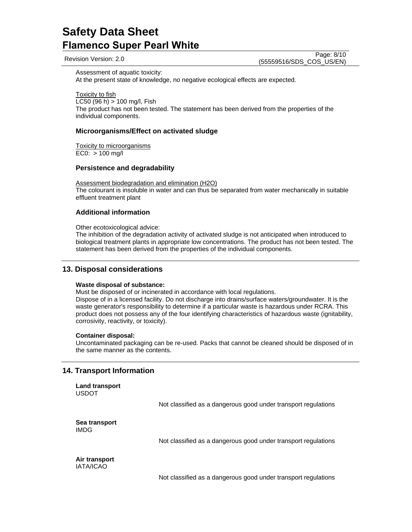Revision Version: 2.0

Page: 8/10 (55559516/SDS\_COS\_US/EN)

Assessment of aquatic toxicity:

At the present state of knowledge, no negative ecological effects are expected.

Toxicity to fish LC50 (96 h) > 100 mg/l, Fish The product has not been tested. The statement has been derived from the properties of the individual components.

# **Microorganisms/Effect on activated sludge**

Toxicity to microorganisms  $EC0: > 100$  mg/l

# **Persistence and degradability**

Assessment biodegradation and elimination (H2O) The colourant is insoluble in water and can thus be separated from water mechanically in suitable effluent treatment plant

# **Additional information**

Other ecotoxicological advice:

The inhibition of the degradation activity of activated sludge is not anticipated when introduced to biological treatment plants in appropriate low concentrations. The product has not been tested. The statement has been derived from the properties of the individual components.

# **13. Disposal considerations**

## **Waste disposal of substance:**

Must be disposed of or incinerated in accordance with local regulations. Dispose of in a licensed facility. Do not discharge into drains/surface waters/groundwater. It is the waste generator's responsibility to determine if a particular waste is hazardous under RCRA. This product does not possess any of the four identifying characteristics of hazardous waste (ignitability, corrosivity, reactivity, or toxicity).

# **Container disposal:**

Uncontaminated packaging can be re-used. Packs that cannot be cleaned should be disposed of in the same manner as the contents.

# **14. Transport Information**

**Land transport** USDOT

Not classified as a dangerous good under transport regulations

**Sea transport**  IMDG

Not classified as a dangerous good under transport regulations

**Air transport**  IATA/ICAO

Not classified as a dangerous good under transport regulations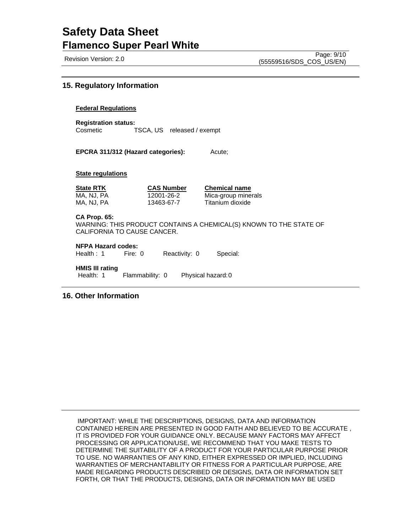Revision Version: 2.0

# **15. Regulatory Information**

## **Federal Regulations**

**Registration status:**  Cosmetic TSCA, US released / exempt

**EPCRA 311/312 (Hazard categories):** Acute;

### **State regulations**

| <b>State RTK</b> | <b>CAS Number</b> | <b>Chemical name</b> |
|------------------|-------------------|----------------------|
| MA, NJ, PA       | 12001-26-2        | Mica-group minerals  |
| MA. NJ. PA-      | 13463-67-7        | Titanium dioxide     |

### **CA Prop. 65:**

WARNING: THIS PRODUCT CONTAINS A CHEMICAL(S) KNOWN TO THE STATE OF CALIFORNIA TO CAUSE CANCER.

**NFPA Hazard codes:**

Health : 1 Fire: 0 Reactivity: 0 Special:

**HMIS III rating**

Health: 1 Flammability: 0 Physical hazard: 0

**16. Other Information**

IMPORTANT: WHILE THE DESCRIPTIONS, DESIGNS, DATA AND INFORMATION CONTAINED HEREIN ARE PRESENTED IN GOOD FAITH AND BELIEVED TO BE ACCURATE , IT IS PROVIDED FOR YOUR GUIDANCE ONLY. BECAUSE MANY FACTORS MAY AFFECT PROCESSING OR APPLICATION/USE, WE RECOMMEND THAT YOU MAKE TESTS TO DETERMINE THE SUITABILITY OF A PRODUCT FOR YOUR PARTICULAR PURPOSE PRIOR TO USE. NO WARRANTIES OF ANY KIND, EITHER EXPRESSED OR IMPLIED, INCLUDING WARRANTIES OF MERCHANTABILITY OR FITNESS FOR A PARTICULAR PURPOSE, ARE MADE REGARDING PRODUCTS DESCRIBED OR DESIGNS, DATA OR INFORMATION SET FORTH, OR THAT THE PRODUCTS, DESIGNS, DATA OR INFORMATION MAY BE USED